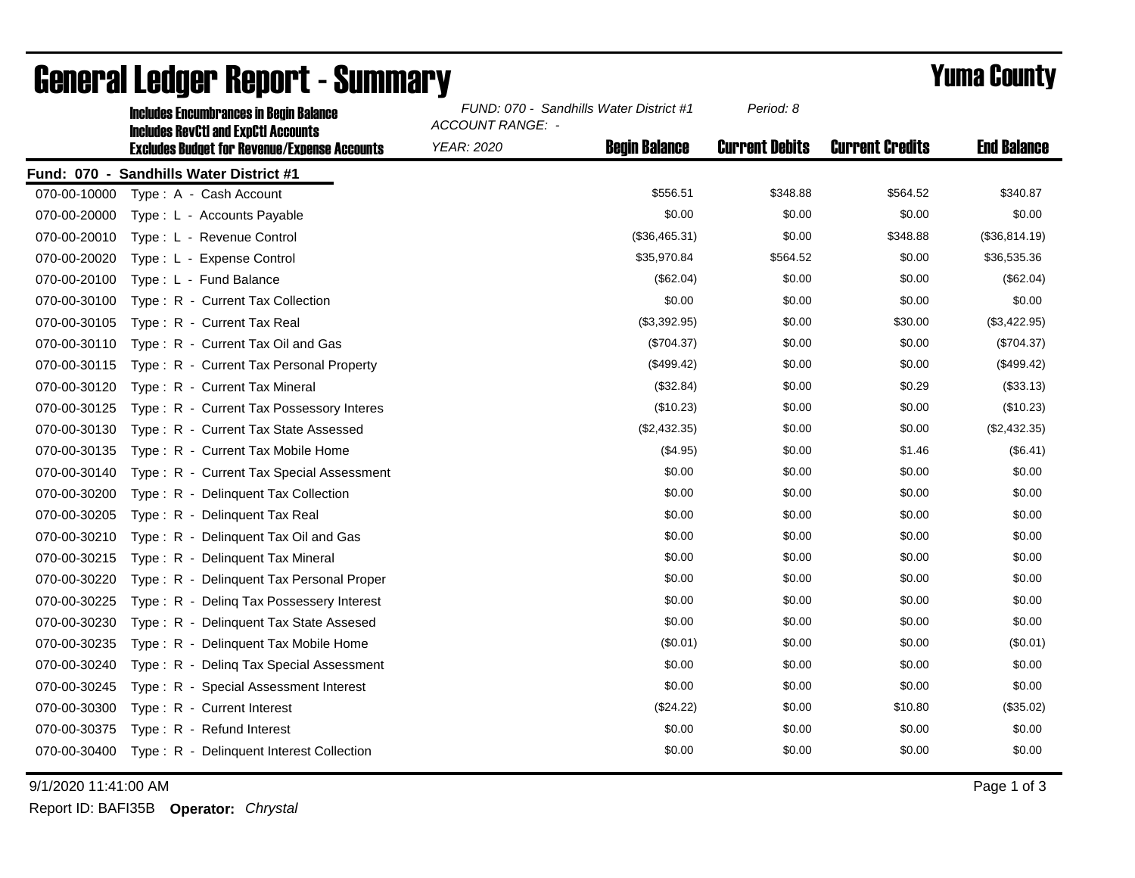|              | <b>Includes Encumbrances in Begin Balance</b><br><b>Includes RevCtI and ExpCtI Accounts</b> | FUND: 070 - Sandhills Water District #1<br>ACCOUNT RANGE: - |                      | Period: 8             |                        |                    |
|--------------|---------------------------------------------------------------------------------------------|-------------------------------------------------------------|----------------------|-----------------------|------------------------|--------------------|
|              | <b>Excludes Budget for Revenue/Expense Accounts</b>                                         | YEAR: 2020                                                  | <b>Begin Balance</b> | <b>Current Debits</b> | <b>Current Credits</b> | <b>End Balance</b> |
|              | Fund: 070 - Sandhills Water District #1                                                     |                                                             |                      |                       |                        |                    |
| 070-00-10000 | Type: A - Cash Account                                                                      |                                                             | \$556.51             | \$348.88              | \$564.52               | \$340.87           |
| 070-00-20000 | Type: L - Accounts Payable                                                                  |                                                             | \$0.00               | \$0.00                | \$0.00                 | \$0.00             |
| 070-00-20010 | Type: L - Revenue Control                                                                   |                                                             | (\$36,465.31)        | \$0.00                | \$348.88               | (\$36,814.19)      |
| 070-00-20020 | Type: L - Expense Control                                                                   |                                                             | \$35,970.84          | \$564.52              | \$0.00                 | \$36,535.36        |
| 070-00-20100 | Type: L - Fund Balance                                                                      |                                                             | (\$62.04)            | \$0.00                | \$0.00                 | (\$62.04)          |
| 070-00-30100 | Type: R - Current Tax Collection                                                            |                                                             | \$0.00               | \$0.00                | \$0.00                 | \$0.00             |
| 070-00-30105 | Type: R - Current Tax Real                                                                  |                                                             | (\$3,392.95)         | \$0.00                | \$30.00                | (\$3,422.95)       |
| 070-00-30110 | Type: R - Current Tax Oil and Gas                                                           |                                                             | (\$704.37)           | \$0.00                | \$0.00                 | (\$704.37)         |
| 070-00-30115 | Type: R - Current Tax Personal Property                                                     |                                                             | (\$499.42)           | \$0.00                | \$0.00                 | (\$499.42)         |
| 070-00-30120 | Type: R - Current Tax Mineral                                                               |                                                             | (\$32.84)            | \$0.00                | \$0.29                 | (\$33.13)          |
| 070-00-30125 | Type: R - Current Tax Possessory Interes                                                    |                                                             | (\$10.23)            | \$0.00                | \$0.00                 | (\$10.23)          |
| 070-00-30130 | Type: R - Current Tax State Assessed                                                        |                                                             | (\$2,432.35)         | \$0.00                | \$0.00                 | (\$2,432.35)       |
| 070-00-30135 | Type: R - Current Tax Mobile Home                                                           |                                                             | (\$4.95)             | \$0.00                | \$1.46                 | (\$6.41)           |
| 070-00-30140 | Type: R - Current Tax Special Assessment                                                    |                                                             | \$0.00               | \$0.00                | \$0.00                 | \$0.00             |
| 070-00-30200 | Type: R - Delinquent Tax Collection                                                         |                                                             | \$0.00               | \$0.00                | \$0.00                 | \$0.00             |
| 070-00-30205 | Type: R - Delinguent Tax Real                                                               |                                                             | \$0.00               | \$0.00                | \$0.00                 | \$0.00             |
| 070-00-30210 | Type: R - Delinquent Tax Oil and Gas                                                        |                                                             | \$0.00               | \$0.00                | \$0.00                 | \$0.00             |
| 070-00-30215 | Type: R - Delinguent Tax Mineral                                                            |                                                             | \$0.00               | \$0.00                | \$0.00                 | \$0.00             |
| 070-00-30220 | Type: R - Delinquent Tax Personal Proper                                                    |                                                             | \$0.00               | \$0.00                | \$0.00                 | \$0.00             |
| 070-00-30225 | Deling Tax Possessery Interest<br>$Type: R -$                                               |                                                             | \$0.00               | \$0.00                | \$0.00                 | \$0.00             |
| 070-00-30230 | Type: R - Delinquent Tax State Assesed                                                      |                                                             | \$0.00               | \$0.00                | \$0.00                 | \$0.00             |
| 070-00-30235 | Type: R - Delinquent Tax Mobile Home                                                        |                                                             | (\$0.01)             | \$0.00                | \$0.00                 | (\$0.01)           |
| 070-00-30240 | Type: R - Deling Tax Special Assessment                                                     |                                                             | \$0.00               | \$0.00                | \$0.00                 | \$0.00             |
| 070-00-30245 | Type: R - Special Assessment Interest                                                       |                                                             | \$0.00               | \$0.00                | \$0.00                 | \$0.00             |
| 070-00-30300 | Type: R - Current Interest                                                                  |                                                             | (\$24.22)            | \$0.00                | \$10.80                | (\$35.02)          |
| 070-00-30375 | Type: R - Refund Interest                                                                   |                                                             | \$0.00               | \$0.00                | \$0.00                 | \$0.00             |
| 070-00-30400 | Type: R - Delinquent Interest Collection                                                    |                                                             | \$0.00               | \$0.00                | \$0.00                 | \$0.00             |

## General Ledger Report - Summary **Example 2018** Yuma County

9/1/2020 11:41:00 AM Page 1 of 3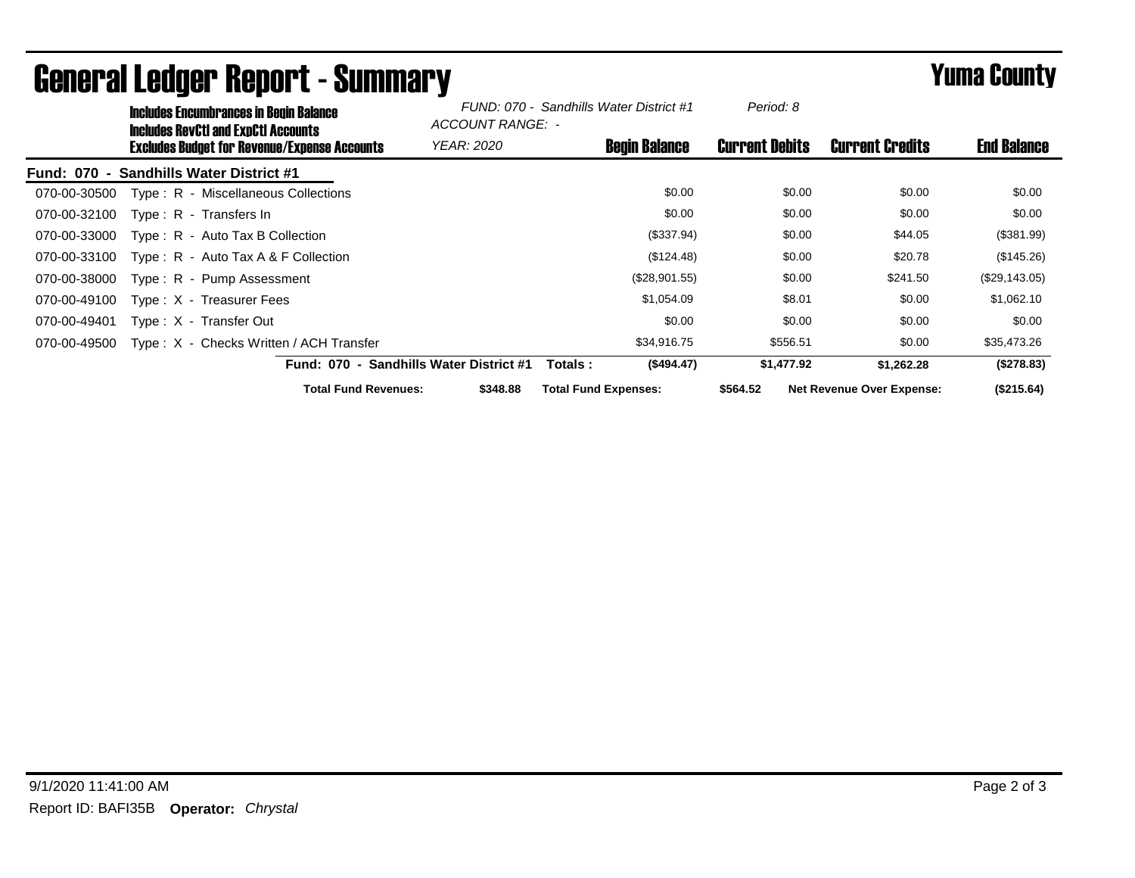|              | <b>Includes Encumbrances in Begin Balance</b><br><b>Includes RevCtI and ExpCtI Accounts</b> |                                         |                                                     | FUND: 070 - Sandhills Water District #1<br>ACCOUNT RANGE: - |                             | Period: 8            |                       |            |                                  |                    |
|--------------|---------------------------------------------------------------------------------------------|-----------------------------------------|-----------------------------------------------------|-------------------------------------------------------------|-----------------------------|----------------------|-----------------------|------------|----------------------------------|--------------------|
|              |                                                                                             |                                         | <b>Excludes Budget for Revenue/Expense Accounts</b> | <b>YEAR: 2020</b>                                           |                             | <b>Begin Balance</b> | <b>Current Debits</b> |            | <b>Current Credits</b>           | <b>End Balance</b> |
| Fund: 070 -  |                                                                                             | <b>Sandhills Water District #1</b>      |                                                     |                                                             |                             |                      |                       |            |                                  |                    |
| 070-00-30500 |                                                                                             | Type: R - Miscellaneous Collections     |                                                     |                                                             |                             | \$0.00               |                       | \$0.00     | \$0.00                           | \$0.00             |
| 070-00-32100 |                                                                                             | Type: R - Transfers In                  |                                                     |                                                             |                             | \$0.00               |                       | \$0.00     | \$0.00                           | \$0.00             |
| 070-00-33000 |                                                                                             | $Type: R - Auto Tax B Collection$       |                                                     |                                                             |                             | (\$337.94)           |                       | \$0.00     | \$44.05                          | (\$381.99)         |
| 070-00-33100 |                                                                                             | Type: $R -$ Auto Tax A & F Collection   |                                                     |                                                             |                             | (\$124.48)           |                       | \$0.00     | \$20.78                          | (\$145.26)         |
| 070-00-38000 |                                                                                             | Type: R - Pump Assessment               |                                                     |                                                             |                             | (\$28,901.55)        |                       | \$0.00     | \$241.50                         | (\$29,143.05)      |
| 070-00-49100 |                                                                                             | Type: X - Treasurer Fees                |                                                     |                                                             |                             | \$1,054.09           |                       | \$8.01     | \$0.00                           | \$1,062.10         |
| 070-00-49401 |                                                                                             | Type: X - Transfer Out                  |                                                     |                                                             |                             | \$0.00               |                       | \$0.00     | \$0.00                           | \$0.00             |
| 070-00-49500 |                                                                                             | Type: X - Checks Written / ACH Transfer |                                                     |                                                             |                             | \$34,916.75          |                       | \$556.51   | \$0.00                           | \$35,473.26        |
|              |                                                                                             |                                         | <b>Fund: 070 -</b>                                  | <b>Sandhills Water District #1</b>                          | Totals:                     | (\$494.47)           |                       | \$1,477.92 | \$1,262.28                       | (\$278.83)         |
|              |                                                                                             |                                         | <b>Total Fund Revenues:</b>                         | \$348.88                                                    | <b>Total Fund Expenses:</b> |                      | \$564.52              |            | <b>Net Revenue Over Expense:</b> | (\$215.64)         |

## General Ledger Report - Summary **Example 2018** Yuma County